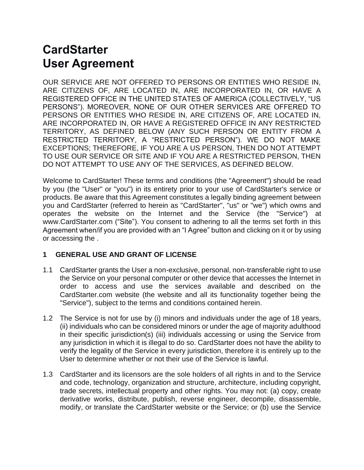# **CardStarter User Agreement**

OUR SERVICE ARE NOT OFFERED TO PERSONS OR ENTITIES WHO RESIDE IN, ARE CITIZENS OF, ARE LOCATED IN, ARE INCORPORATED IN, OR HAVE A REGISTERED OFFICE IN THE UNITED STATES OF AMERICA (COLLECTIVELY, "US PERSONS"). MOREOVER, NONE OF OUR OTHER SERVICES ARE OFFERED TO PERSONS OR ENTITIES WHO RESIDE IN, ARE CITIZENS OF, ARE LOCATED IN, ARE INCORPORATED IN, OR HAVE A REGISTERED OFFICE IN ANY RESTRICTED TERRITORY, AS DEFINED BELOW (ANY SUCH PERSON OR ENTITY FROM A RESTRICTED TERRITORY, A "RESTRICTED PERSON"). WE DO NOT MAKE EXCEPTIONS; THEREFORE, IF YOU ARE A US PERSON, THEN DO NOT ATTEMPT TO USE OUR SERVICE OR SITE AND IF YOU ARE A RESTRICTED PERSON, THEN DO NOT ATTEMPT TO USE ANY OF THE SERVICES, AS DEFINED BELOW.

Welcome to CardStarter! These terms and conditions (the "Agreement") should be read by you (the "User" or "you") in its entirety prior to your use of CardStarter's service or products. Be aware that this Agreement constitutes a legally binding agreement between you and CardStarter (referred to herein as "CardStarter", "us" or "we") which owns and operates the website on the Internet and the Service (the "Service") at www.CardStarter.com ("Site"). You consent to adhering to all the terms set forth in this Agreement when/if you are provided with an "I Agree" button and clicking on it or by using or accessing the .

## **1 GENERAL USE AND GRANT OF LICENSE**

- 1.1 CardStarter grants the User a non-exclusive, personal, non-transferable right to use the Service on your personal computer or other device that accesses the Internet in order to access and use the services available and described on the CardStarter.com website (the website and all its functionality together being the "Service"), subject to the terms and conditions contained herein.
- 1.2 The Service is not for use by (i) minors and individuals under the age of 18 years, (ii) individuals who can be considered minors or under the age of majority adulthood in their specific jurisdiction(s) (iii) individuals accessing or using the Service from any jurisdiction in which it is illegal to do so. CardStarter does not have the ability to verify the legality of the Service in every jurisdiction, therefore it is entirely up to the User to determine whether or not their use of the Service is lawful.
- 1.3 CardStarter and its licensors are the sole holders of all rights in and to the Service and code, technology, organization and structure, architecture, including copyright, trade secrets, intellectual property and other rights. You may not: (a) copy, create derivative works, distribute, publish, reverse engineer, decompile, disassemble, modify, or translate the CardStarter website or the Service; or (b) use the Service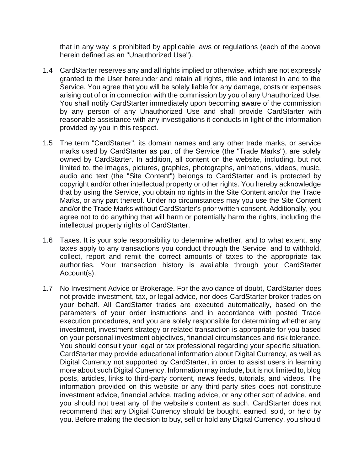that in any way is prohibited by applicable laws or regulations (each of the above herein defined as an "Unauthorized Use").

- 1.4 CardStarter reserves any and all rights implied or otherwise, which are not expressly granted to the User hereunder and retain all rights, title and interest in and to the Service. You agree that you will be solely liable for any damage, costs or expenses arising out of or in connection with the commission by you of any Unauthorized Use. You shall notify CardStarter immediately upon becoming aware of the commission by any person of any Unauthorized Use and shall provide CardStarter with reasonable assistance with any investigations it conducts in light of the information provided by you in this respect.
- 1.5 The term "CardStarter", its domain names and any other trade marks, or service marks used by CardStarter as part of the Service (the "Trade Marks"), are solely owned by CardStarter. In addition, all content on the website, including, but not limited to, the images, pictures, graphics, photographs, animations, videos, music, audio and text (the "Site Content") belongs to CardStarter and is protected by copyright and/or other intellectual property or other rights. You hereby acknowledge that by using the Service, you obtain no rights in the Site Content and/or the Trade Marks, or any part thereof. Under no circumstances may you use the Site Content and/or the Trade Marks without CardStarter's prior written consent. Additionally, you agree not to do anything that will harm or potentially harm the rights, including the intellectual property rights of CardStarter.
- 1.6 Taxes. It is your sole responsibility to determine whether, and to what extent, any taxes apply to any transactions you conduct through the Service, and to withhold, collect, report and remit the correct amounts of taxes to the appropriate tax authorities. Your transaction history is available through your CardStarter Account(s).
- 1.7 No Investment Advice or Brokerage. For the avoidance of doubt, CardStarter does not provide investment, tax, or legal advice, nor does CardStarter broker trades on your behalf. All CardStarter trades are executed automatically, based on the parameters of your order instructions and in accordance with posted Trade execution procedures, and you are solely responsible for determining whether any investment, investment strategy or related transaction is appropriate for you based on your personal investment objectives, financial circumstances and risk tolerance. You should consult your legal or tax professional regarding your specific situation. CardStarter may provide educational information about Digital Currency, as well as Digital Currency not supported by CardStarter, in order to assist users in learning more about such Digital Currency. Information may include, but is not limited to, blog posts, articles, links to third-party content, news feeds, tutorials, and videos. The information provided on this website or any third-party sites does not constitute investment advice, financial advice, trading advice, or any other sort of advice, and you should not treat any of the website's content as such. CardStarter does not recommend that any Digital Currency should be bought, earned, sold, or held by you. Before making the decision to buy, sell or hold any Digital Currency, you should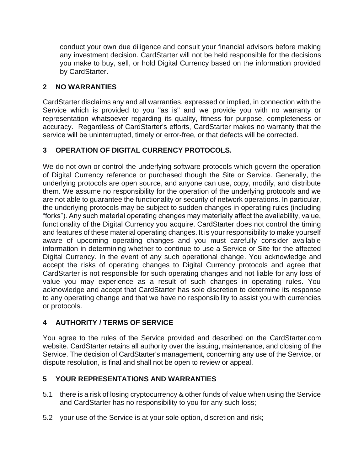conduct your own due diligence and consult your financial advisors before making any investment decision. CardStarter will not be held responsible for the decisions you make to buy, sell, or hold Digital Currency based on the information provided by CardStarter.

# **2 NO WARRANTIES**

CardStarter disclaims any and all warranties, expressed or implied, in connection with the Service which is provided to you "as is" and we provide you with no warranty or representation whatsoever regarding its quality, fitness for purpose, completeness or accuracy. Regardless of CardStarter's efforts, CardStarter makes no warranty that the service will be uninterrupted, timely or error-free, or that defects will be corrected.

# **3 OPERATION OF DIGITAL CURRENCY PROTOCOLS.**

We do not own or control the underlying software protocols which govern the operation of Digital Currency reference or purchased though the Site or Service. Generally, the underlying protocols are open source, and anyone can use, copy, modify, and distribute them. We assume no responsibility for the operation of the underlying protocols and we are not able to guarantee the functionality or security of network operations. In particular, the underlying protocols may be subject to sudden changes in operating rules (including "forks"). Any such material operating changes may materially affect the availability, value, functionality of the Digital Currency you acquire. CardStarter does not control the timing and features of these material operating changes. It is your responsibility to make yourself aware of upcoming operating changes and you must carefully consider available information in determining whether to continue to use a Service or Site for the affected Digital Currency. In the event of any such operational change. You acknowledge and accept the risks of operating changes to Digital Currency protocols and agree that CardStarter is not responsible for such operating changes and not liable for any loss of value you may experience as a result of such changes in operating rules. You acknowledge and accept that CardStarter has sole discretion to determine its response to any operating change and that we have no responsibility to assist you with currencies or protocols.

# **4 AUTHORITY / TERMS OF SERVICE**

You agree to the rules of the Service provided and described on the CardStarter.com website. CardStarter retains all authority over the issuing, maintenance, and closing of the Service. The decision of CardStarter's management, concerning any use of the Service, or dispute resolution, is final and shall not be open to review or appeal.

# **5 YOUR REPRESENTATIONS AND WARRANTIES**

- 5.1 there is a risk of losing cryptocurrency & other funds of value when using the Service and CardStarter has no responsibility to you for any such loss;
- 5.2 your use of the Service is at your sole option, discretion and risk;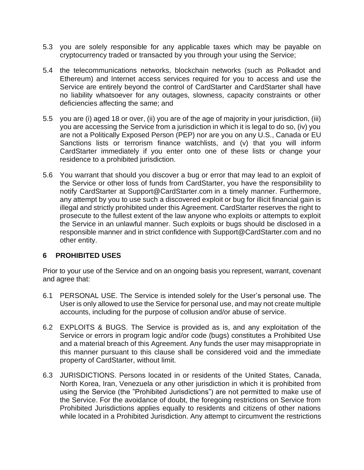- 5.3 you are solely responsible for any applicable taxes which may be payable on cryptocurrency traded or transacted by you through your using the Service;
- 5.4 the telecommunications networks, blockchain networks (such as Polkadot and Ethereum) and Internet access services required for you to access and use the Service are entirely beyond the control of CardStarter and CardStarter shall have no liability whatsoever for any outages, slowness, capacity constraints or other deficiencies affecting the same; and
- 5.5 you are (i) aged 18 or over, (ii) you are of the age of majority in your jurisdiction, (iii) you are accessing the Service from a jurisdiction in which it is legal to do so, (iv) you are not a Politically Exposed Person (PEP) nor are you on any U.S., Canada or EU Sanctions lists or terrorism finance watchlists, and (v) that you will inform CardStarter immediately if you enter onto one of these lists or change your residence to a prohibited jurisdiction.
- 5.6 You warrant that should you discover a bug or error that may lead to an exploit of the Service or other loss of funds from CardStarter, you have the responsibility to notify CardStarter at Support@CardStarter.com in a timely manner. Furthermore, any attempt by you to use such a discovered exploit or bug for illicit financial gain is illegal and strictly prohibited under this Agreement. CardStarter reserves the right to prosecute to the fullest extent of the law anyone who exploits or attempts to exploit the Service in an unlawful manner. Such exploits or bugs should be disclosed in a responsible manner and in strict confidence with Support@CardStarter.com and no other entity.

## **6 PROHIBITED USES**

Prior to your use of the Service and on an ongoing basis you represent, warrant, covenant and agree that:

- 6.1 PERSONAL USE. The Service is intended solely for the User's personal use. The User is only allowed to use the Service for personal use, and may not create multiple accounts, including for the purpose of collusion and/or abuse of service.
- 6.2 EXPLOITS & BUGS. The Service is provided as is, and any exploitation of the Service or errors in program logic and/or code (bugs) constitutes a Prohibited Use and a material breach of this Agreement. Any funds the user may misappropriate in this manner pursuant to this clause shall be considered void and the immediate property of CardStarter, without limit.
- 6.3 JURISDICTIONS. Persons located in or residents of the United States, Canada, North Korea, Iran, Venezuela or any other jurisdiction in which it is prohibited from using the Service (the "Prohibited Jurisdictions") are not permitted to make use of the Service. For the avoidance of doubt, the foregoing restrictions on Service from Prohibited Jurisdictions applies equally to residents and citizens of other nations while located in a Prohibited Jurisdiction. Any attempt to circumvent the restrictions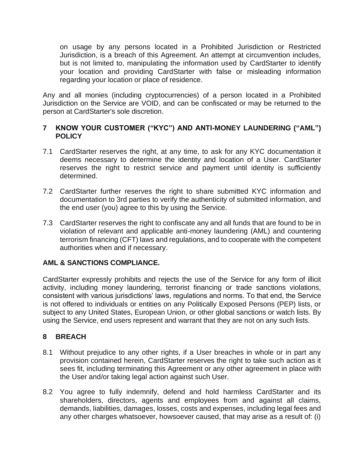on usage by any persons located in a Prohibited Jurisdiction or Restricted Jurisdiction, is a breach of this Agreement. An attempt at circumvention includes, but is not limited to, manipulating the information used by CardStarter to identify your location and providing CardStarter with false or misleading information regarding your location or place of residence.

Any and all monies (including cryptocurrencies) of a person located in a Prohibited Jurisdiction on the Service are VOID, and can be confiscated or may be returned to the person at CardStarter's sole discretion.

#### **7 KNOW YOUR CUSTOMER ("KYC") AND ANTI-MONEY LAUNDERING ("AML") POLICY**

- 7.1 CardStarter reserves the right, at any time, to ask for any KYC documentation it deems necessary to determine the identity and location of a User. CardStarter reserves the right to restrict service and payment until identity is sufficiently determined.
- 7.2 CardStarter further reserves the right to share submitted KYC information and documentation to 3rd parties to verify the authenticity of submitted information, and the end user (you) agree to this by using the Service.
- 7.3 CardStarter reserves the right to confiscate any and all funds that are found to be in violation of relevant and applicable anti-money laundering (AML) and countering terrorism financing (CFT) laws and regulations, and to cooperate with the competent authorities when and if necessary.

#### **AML & SANCTIONS COMPLIANCE.**

CardStarter expressly prohibits and rejects the use of the Service for any form of illicit activity, including money laundering, terrorist financing or trade sanctions violations, consistent with various jurisdictions' laws, regulations and norms. To that end, the Service is not offered to individuals or entities on any Politically Exposed Persons (PEP) lists, or subject to any United States, European Union, or other global sanctions or watch lists. By using the Service, end users represent and warrant that they are not on any such lists.

## **8 BREACH**

- 8.1 Without prejudice to any other rights, if a User breaches in whole or in part any provision contained herein, CardStarter reserves the right to take such action as it sees fit, including terminating this Agreement or any other agreement in place with the User and/or taking legal action against such User.
- 8.2 You agree to fully indemnify, defend and hold harmless CardStarter and its shareholders, directors, agents and employees from and against all claims, demands, liabilities, damages, losses, costs and expenses, including legal fees and any other charges whatsoever, howsoever caused, that may arise as a result of: (i)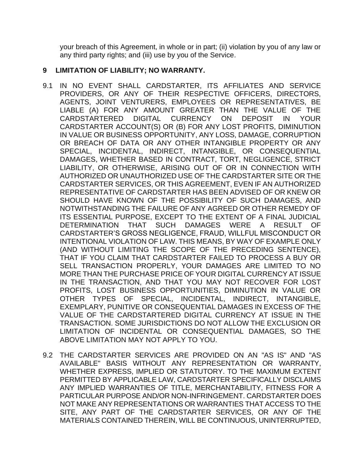your breach of this Agreement, in whole or in part; (ii) violation by you of any law or any third party rights; and (iii) use by you of the Service.

#### **9 LIMITATION OF LIABILITY; NO WARRANTY.**

- 9.1 IN NO EVENT SHALL CARDSTARTER, ITS AFFILIATES AND SERVICE PROVIDERS, OR ANY OF THEIR RESPECTIVE OFFICERS, DIRECTORS, AGENTS, JOINT VENTURERS, EMPLOYEES OR REPRESENTATIVES, BE LIABLE (A) FOR ANY AMOUNT GREATER THAN THE VALUE OF THE CARDSTARTERED DIGITAL CURRENCY ON DEPOSIT IN YOUR CARDSTARTER ACCOUNT(S) OR (B) FOR ANY LOST PROFITS, DIMINUTION IN VALUE OR BUSINESS OPPORTUNITY, ANY LOSS, DAMAGE, CORRUPTION OR BREACH OF DATA OR ANY OTHER INTANGIBLE PROPERTY OR ANY SPECIAL, INCIDENTAL, INDIRECT, INTANGIBLE, OR CONSEQUENTIAL DAMAGES, WHETHER BASED IN CONTRACT, TORT, NEGLIGENCE, STRICT LIABILITY, OR OTHERWISE, ARISING OUT OF OR IN CONNECTION WITH AUTHORIZED OR UNAUTHORIZED USE OF THE CARDSTARTER SITE OR THE CARDSTARTER SERVICES, OR THIS AGREEMENT, EVEN IF AN AUTHORIZED REPRESENTATIVE OF CARDSTARTER HAS BEEN ADVISED OF OR KNEW OR SHOULD HAVE KNOWN OF THE POSSIBILITY OF SUCH DAMAGES, AND NOTWITHSTANDING THE FAILURE OF ANY AGREED OR OTHER REMEDY OF ITS ESSENTIAL PURPOSE, EXCEPT TO THE EXTENT OF A FINAL JUDICIAL DETERMINATION THAT SUCH DAMAGES WERE A RESULT OF CARDSTARTER'S GROSS NEGLIGENCE, FRAUD, WILLFUL MISCONDUCT OR INTENTIONAL VIOLATION OF LAW. THIS MEANS, BY WAY OF EXAMPLE ONLY (AND WITHOUT LIMITING THE SCOPE OF THE PRECEDING SENTENCE), THAT IF YOU CLAIM THAT CARDSTARTER FAILED TO PROCESS A BUY OR SELL TRANSACTION PROPERLY, YOUR DAMAGES ARE LIMITED TO NO MORE THAN THE PURCHASE PRICE OF YOUR DIGITAL CURRENCY AT ISSUE IN THE TRANSACTION, AND THAT YOU MAY NOT RECOVER FOR LOST PROFITS, LOST BUSINESS OPPORTUNITIES, DIMINUTION IN VALUE OR OTHER TYPES OF SPECIAL, INCIDENTAL, INDIRECT, INTANGIBLE, EXEMPLARY, PUNITIVE OR CONSEQUENTIAL DAMAGES IN EXCESS OF THE VALUE OF THE CARDSTARTERED DIGITAL CURRENCY AT ISSUE IN THE TRANSACTION. SOME JURISDICTIONS DO NOT ALLOW THE EXCLUSION OR LIMITATION OF INCIDENTAL OR CONSEQUENTIAL DAMAGES, SO THE ABOVE LIMITATION MAY NOT APPLY TO YOU.
- 9.2 THE CARDSTARTER SERVICES ARE PROVIDED ON AN "AS IS" AND "AS AVAILABLE" BASIS WITHOUT ANY REPRESENTATION OR WARRANTY, WHETHER EXPRESS, IMPLIED OR STATUTORY. TO THE MAXIMUM EXTENT PERMITTED BY APPLICABLE LAW, CARDSTARTER SPECIFICALLY DISCLAIMS ANY IMPLIED WARRANTIES OF TITLE, MERCHANTABILITY, FITNESS FOR A PARTICULAR PURPOSE AND/OR NON-INFRINGEMENT. CARDSTARTER DOES NOT MAKE ANY REPRESENTATIONS OR WARRANTIES THAT ACCESS TO THE SITE, ANY PART OF THE CARDSTARTER SERVICES, OR ANY OF THE MATERIALS CONTAINED THEREIN, WILL BE CONTINUOUS, UNINTERRUPTED,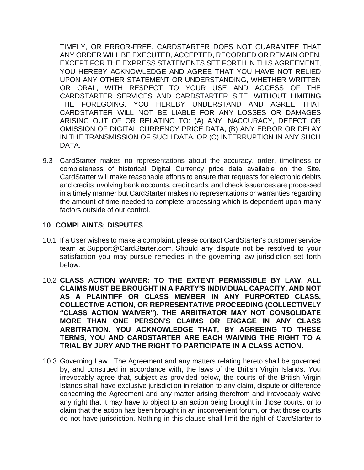TIMELY, OR ERROR-FREE. CARDSTARTER DOES NOT GUARANTEE THAT ANY ORDER WILL BE EXECUTED, ACCEPTED, RECORDED OR REMAIN OPEN. EXCEPT FOR THE EXPRESS STATEMENTS SET FORTH IN THIS AGREEMENT, YOU HEREBY ACKNOWLEDGE AND AGREE THAT YOU HAVE NOT RELIED UPON ANY OTHER STATEMENT OR UNDERSTANDING, WHETHER WRITTEN OR ORAL, WITH RESPECT TO YOUR USE AND ACCESS OF THE CARDSTARTER SERVICES AND CARDSTARTER SITE. WITHOUT LIMITING THE FOREGOING, YOU HEREBY UNDERSTAND AND AGREE THAT CARDSTARTER WILL NOT BE LIABLE FOR ANY LOSSES OR DAMAGES ARISING OUT OF OR RELATING TO: (A) ANY INACCURACY, DEFECT OR OMISSION OF DIGITAL CURRENCY PRICE DATA, (B) ANY ERROR OR DELAY IN THE TRANSMISSION OF SUCH DATA, OR (C) INTERRUPTION IN ANY SUCH DATA.

9.3 CardStarter makes no representations about the accuracy, order, timeliness or completeness of historical Digital Currency price data available on the Site. CardStarter will make reasonable efforts to ensure that requests for electronic debits and credits involving bank accounts, credit cards, and check issuances are processed in a timely manner but CardStarter makes no representations or warranties regarding the amount of time needed to complete processing which is dependent upon many factors outside of our control.

#### **10 COMPLAINTS; DISPUTES**

- 10.1 If a User wishes to make a complaint, please contact CardStarter's customer service team at Support@CardStarter.com. Should any dispute not be resolved to your satisfaction you may pursue remedies in the governing law jurisdiction set forth below.
- 10.2 **CLASS ACTION WAIVER: TO THE EXTENT PERMISSIBLE BY LAW, ALL CLAIMS MUST BE BROUGHT IN A PARTY'S INDIVIDUAL CAPACITY, AND NOT AS A PLAINTIFF OR CLASS MEMBER IN ANY PURPORTED CLASS, COLLECTIVE ACTION, OR REPRESENTATIVE PROCEEDING (COLLECTIVELY "CLASS ACTION WAIVER"). THE ARBITRATOR MAY NOT CONSOLIDATE MORE THAN ONE PERSON'S CLAIMS OR ENGAGE IN ANY CLASS ARBITRATION. YOU ACKNOWLEDGE THAT, BY AGREEING TO THESE TERMS, YOU AND CARDSTARTER ARE EACH WAIVING THE RIGHT TO A TRIAL BY JURY AND THE RIGHT TO PARTICIPATE IN A CLASS ACTION.**
- 10.3 Governing Law. The Agreement and any matters relating hereto shall be governed by, and construed in accordance with, the laws of the British Virgin Islands. You irrevocably agree that, subject as provided below, the courts of the British Virgin Islands shall have exclusive jurisdiction in relation to any claim, dispute or difference concerning the Agreement and any matter arising therefrom and irrevocably waive any right that it may have to object to an action being brought in those courts, or to claim that the action has been brought in an inconvenient forum, or that those courts do not have jurisdiction. Nothing in this clause shall limit the right of CardStarter to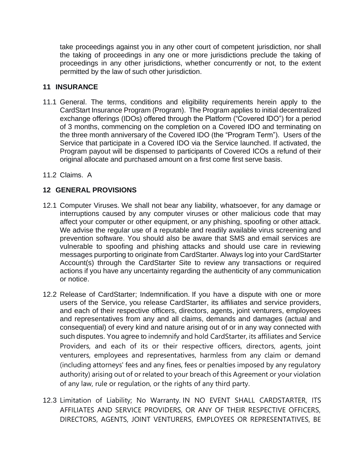take proceedings against you in any other court of competent jurisdiction, nor shall the taking of proceedings in any one or more jurisdictions preclude the taking of proceedings in any other jurisdictions, whether concurrently or not, to the extent permitted by the law of such other jurisdiction.

### **11 INSURANCE**

- 11.1 General. The terms, conditions and eligibility requirements herein apply to the CardStart Insurance Program (Program). The Program applies to initial decentralized exchange offerings (IDOs) offered through the Platform ("Covered IDO") for a period of 3 months, commencing on the completion on a Covered IDO and terminating on the three month anniversary of the Covered IDO (the "Program Term"). Users of the Service that participate in a Covered IDO via the Service launched. If activated, the Program payout will be dispensed to participants of Covered ICOs a refund of their original allocate and purchased amount on a first come first serve basis.
- 11.2 Claims. A

# **12 GENERAL PROVISIONS**

- 12.1 Computer Viruses. We shall not bear any liability, whatsoever, for any damage or interruptions caused by any computer viruses or other malicious code that may affect your computer or other equipment, or any phishing, spoofing or other attack. We advise the regular use of a reputable and readily available virus screening and prevention software. You should also be aware that SMS and email services are vulnerable to spoofing and phishing attacks and should use care in reviewing messages purporting to originate from CardStarter. Always log into your CardStarter Account(s) through the CardStarter Site to review any transactions or required actions if you have any uncertainty regarding the authenticity of any communication or notice.
- 12.2 Release of CardStarter; Indemnification. If you have a dispute with one or more users of the Service, you release CardStarter, its affiliates and service providers, and each of their respective officers, directors, agents, joint venturers, employees and representatives from any and all claims, demands and damages (actual and consequential) of every kind and nature arising out of or in any way connected with such disputes. You agree to indemnify and hold CardStarter, its affiliates and Service Providers, and each of its or their respective officers, directors, agents, joint venturers, employees and representatives, harmless from any claim or demand (including attorneys' fees and any fines, fees or penalties imposed by any regulatory authority) arising out of or related to your breach of this Agreement or your violation of any law, rule or regulation, or the rights of any third party.
- 12.3 Limitation of Liability; No Warranty. IN NO EVENT SHALL CARDSTARTER, ITS AFFILIATES AND SERVICE PROVIDERS, OR ANY OF THEIR RESPECTIVE OFFICERS, DIRECTORS, AGENTS, JOINT VENTURERS, EMPLOYEES OR REPRESENTATIVES, BE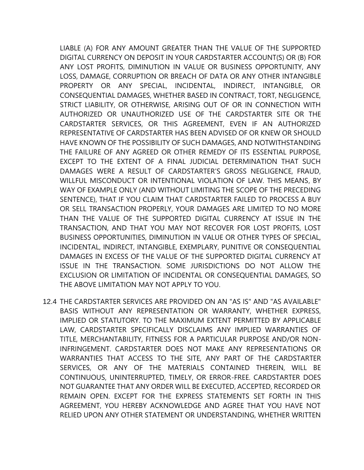LIABLE (A) FOR ANY AMOUNT GREATER THAN THE VALUE OF THE SUPPORTED DIGITAL CURRENCY ON DEPOSIT IN YOUR CARDSTARTER ACCOUNT(S) OR (B) FOR ANY LOST PROFITS, DIMINUTION IN VALUE OR BUSINESS OPPORTUNITY, ANY LOSS, DAMAGE, CORRUPTION OR BREACH OF DATA OR ANY OTHER INTANGIBLE PROPERTY OR ANY SPECIAL, INCIDENTAL, INDIRECT, INTANGIBLE, OR CONSEQUENTIAL DAMAGES, WHETHER BASED IN CONTRACT, TORT, NEGLIGENCE, STRICT LIABILITY, OR OTHERWISE, ARISING OUT OF OR IN CONNECTION WITH AUTHORIZED OR UNAUTHORIZED USE OF THE CARDSTARTER SITE OR THE CARDSTARTER SERVICES, OR THIS AGREEMENT, EVEN IF AN AUTHORIZED REPRESENTATIVE OF CARDSTARTER HAS BEEN ADVISED OF OR KNEW OR SHOULD HAVE KNOWN OF THE POSSIBILITY OF SUCH DAMAGES, AND NOTWITHSTANDING THE FAILURE OF ANY AGREED OR OTHER REMEDY OF ITS ESSENTIAL PURPOSE, EXCEPT TO THE EXTENT OF A FINAL JUDICIAL DETERMINATION THAT SUCH DAMAGES WERE A RESULT OF CARDSTARTER'S GROSS NEGLIGENCE, FRAUD, WILLFUL MISCONDUCT OR INTENTIONAL VIOLATION OF LAW. THIS MEANS, BY WAY OF EXAMPLE ONLY (AND WITHOUT LIMITING THE SCOPE OF THE PRECEDING SENTENCE), THAT IF YOU CLAIM THAT CARDSTARTER FAILED TO PROCESS A BUY OR SELL TRANSACTION PROPERLY, YOUR DAMAGES ARE LIMITED TO NO MORE THAN THE VALUE OF THE SUPPORTED DIGITAL CURRENCY AT ISSUE IN THE TRANSACTION, AND THAT YOU MAY NOT RECOVER FOR LOST PROFITS, LOST BUSINESS OPPORTUNITIES, DIMINUTION IN VALUE OR OTHER TYPES OF SPECIAL, INCIDENTAL, INDIRECT, INTANGIBLE, EXEMPLARY, PUNITIVE OR CONSEQUENTIAL DAMAGES IN EXCESS OF THE VALUE OF THE SUPPORTED DIGITAL CURRENCY AT ISSUE IN THE TRANSACTION. SOME JURISDICTIONS DO NOT ALLOW THE EXCLUSION OR LIMITATION OF INCIDENTAL OR CONSEQUENTIAL DAMAGES, SO THE ABOVE LIMITATION MAY NOT APPLY TO YOU.

12.4 THE CARDSTARTER SERVICES ARE PROVIDED ON AN "AS IS" AND "AS AVAILABLE" BASIS WITHOUT ANY REPRESENTATION OR WARRANTY, WHETHER EXPRESS, IMPLIED OR STATUTORY. TO THE MAXIMUM EXTENT PERMITTED BY APPLICABLE LAW, CARDSTARTER SPECIFICALLY DISCLAIMS ANY IMPLIED WARRANTIES OF TITLE, MERCHANTABILITY, FITNESS FOR A PARTICULAR PURPOSE AND/OR NON-INFRINGEMENT. CARDSTARTER DOES NOT MAKE ANY REPRESENTATIONS OR WARRANTIES THAT ACCESS TO THE SITE, ANY PART OF THE CARDSTARTER SERVICES, OR ANY OF THE MATERIALS CONTAINED THEREIN, WILL BE CONTINUOUS, UNINTERRUPTED, TIMELY, OR ERROR-FREE. CARDSTARTER DOES NOT GUARANTEE THAT ANY ORDER WILL BE EXECUTED, ACCEPTED, RECORDED OR REMAIN OPEN. EXCEPT FOR THE EXPRESS STATEMENTS SET FORTH IN THIS AGREEMENT, YOU HEREBY ACKNOWLEDGE AND AGREE THAT YOU HAVE NOT RELIED UPON ANY OTHER STATEMENT OR UNDERSTANDING, WHETHER WRITTEN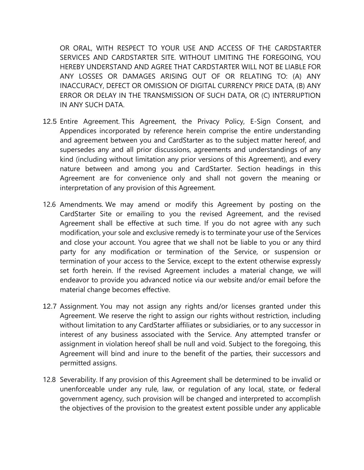OR ORAL, WITH RESPECT TO YOUR USE AND ACCESS OF THE CARDSTARTER SERVICES AND CARDSTARTER SITE. WITHOUT LIMITING THE FOREGOING, YOU HEREBY UNDERSTAND AND AGREE THAT CARDSTARTER WILL NOT BE LIABLE FOR ANY LOSSES OR DAMAGES ARISING OUT OF OR RELATING TO: (A) ANY INACCURACY, DEFECT OR OMISSION OF DIGITAL CURRENCY PRICE DATA, (B) ANY ERROR OR DELAY IN THE TRANSMISSION OF SUCH DATA, OR (C) INTERRUPTION IN ANY SUCH DATA.

- 12.5 Entire Agreement. This Agreement, the Privacy Policy, E-Sign Consent, and Appendices incorporated by reference herein comprise the entire understanding and agreement between you and CardStarter as to the subject matter hereof, and supersedes any and all prior discussions, agreements and understandings of any kind (including without limitation any prior versions of this Agreement), and every nature between and among you and CardStarter. Section headings in this Agreement are for convenience only and shall not govern the meaning or interpretation of any provision of this Agreement.
- 12.6 Amendments. We may amend or modify this Agreement by posting on the CardStarter Site or emailing to you the revised Agreement, and the revised Agreement shall be effective at such time. If you do not agree with any such modification, your sole and exclusive remedy is to terminate your use of the Services and close your account. You agree that we shall not be liable to you or any third party for any modification or termination of the Service, or suspension or termination of your access to the Service, except to the extent otherwise expressly set forth herein. If the revised Agreement includes a material change, we will endeavor to provide you advanced notice via our website and/or email before the material change becomes effective.
- 12.7 Assignment. You may not assign any rights and/or licenses granted under this Agreement. We reserve the right to assign our rights without restriction, including without limitation to any CardStarter affiliates or subsidiaries, or to any successor in interest of any business associated with the Service. Any attempted transfer or assignment in violation hereof shall be null and void. Subject to the foregoing, this Agreement will bind and inure to the benefit of the parties, their successors and permitted assigns.
- 12.8 Severability. If any provision of this Agreement shall be determined to be invalid or unenforceable under any rule, law, or regulation of any local, state, or federal government agency, such provision will be changed and interpreted to accomplish the objectives of the provision to the greatest extent possible under any applicable